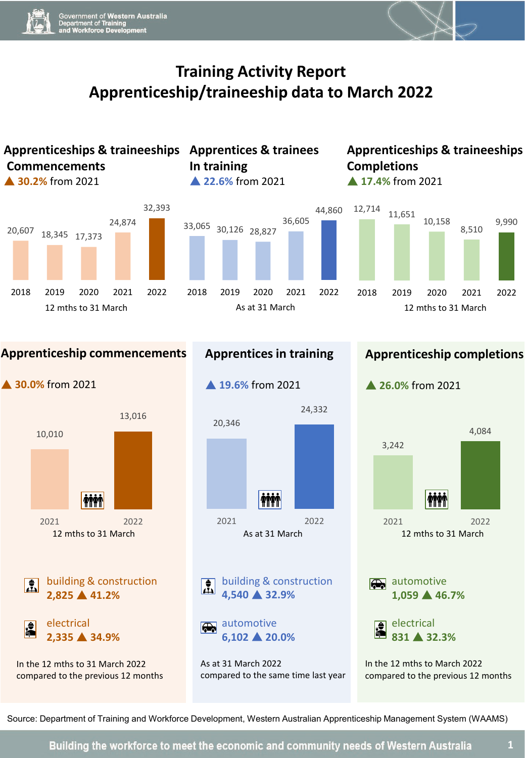## **Training Activity Report Apprenticeship/traineeship data to March 2022**





In the 12 mths to 31 March 2022 compared to the previous 12 months



building & construction **4,540 32.9%**

automotive **6,102 20.0%**

As at 31 March 2022 compared to the same time last year



Source: Department of Training and Workforce Development, Western Australian Apprenticeship Management System (WAAMS)